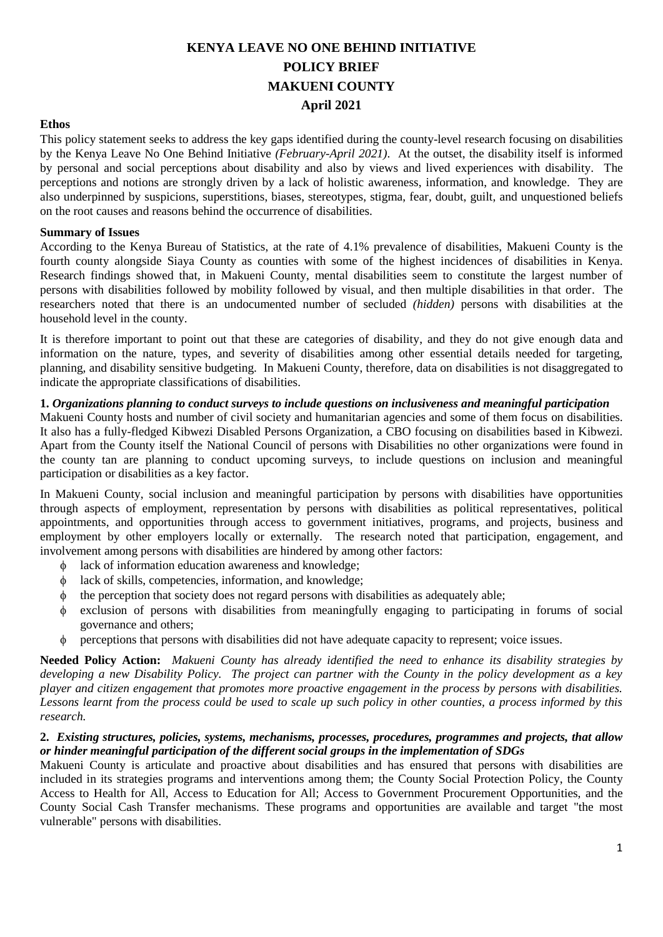# **KENYA LEAVE NO ONE BEHIND INITIATIVE POLICY BRIEF MAKUENI COUNTY April 2021**

#### **Ethos**

This policy statement seeks to address the key gaps identified during the county-level research focusing on disabilities by the Kenya Leave No One Behind Initiative *(February-April 2021)*. At the outset, the disability itself is informed by personal and social perceptions about disability and also by views and lived experiences with disability. The perceptions and notions are strongly driven by a lack of holistic awareness, information, and knowledge. They are also underpinned by suspicions, superstitions, biases, stereotypes, stigma, fear, doubt, guilt, and unquestioned beliefs on the root causes and reasons behind the occurrence of disabilities.

#### **Summary of Issues**

According to the Kenya Bureau of Statistics, at the rate of 4.1% prevalence of disabilities, Makueni County is the fourth county alongside Siaya County as counties with some of the highest incidences of disabilities in Kenya. Research findings showed that, in Makueni County, mental disabilities seem to constitute the largest number of persons with disabilities followed by mobility followed by visual, and then multiple disabilities in that order. The researchers noted that there is an undocumented number of secluded *(hidden)* persons with disabilities at the household level in the county.

It is therefore important to point out that these are categories of disability, and they do not give enough data and information on the nature, types, and severity of disabilities among other essential details needed for targeting, planning, and disability sensitive budgeting. In Makueni County, therefore, data on disabilities is not disaggregated to indicate the appropriate classifications of disabilities.

## **1.** *Organizations planning to conduct surveys to include questions on inclusiveness and meaningful participation*

Makueni County hosts and number of civil society and humanitarian agencies and some of them focus on disabilities. It also has a fully-fledged Kibwezi Disabled Persons Organization, a CBO focusing on disabilities based in Kibwezi. Apart from the County itself the National Council of persons with Disabilities no other organizations were found in the county tan are planning to conduct upcoming surveys, to include questions on inclusion and meaningful participation or disabilities as a key factor.

In Makueni County, social inclusion and meaningful participation by persons with disabilities have opportunities through aspects of employment, representation by persons with disabilities as political representatives, political appointments, and opportunities through access to government initiatives, programs, and projects, business and employment by other employers locally or externally. The research noted that participation, engagement, and involvement among persons with disabilities are hindered by among other factors:

- lack of information education awareness and knowledge;
- lack of skills, competencies, information, and knowledge;
- the perception that society does not regard persons with disabilities as adequately able;
- exclusion of persons with disabilities from meaningfully engaging to participating in forums of social governance and others;
- perceptions that persons with disabilities did not have adequate capacity to represent; voice issues.

**Needed Policy Action:** *Makueni County has already identified the need to enhance its disability strategies by developing a new Disability Policy. The project can partner with the County in the policy development as a key player and citizen engagement that promotes more proactive engagement in the process by persons with disabilities. Lessons learnt from the process could be used to scale up such policy in other counties, a process informed by this research.*

#### **2.** *Existing structures, policies, systems, mechanisms, processes, procedures, programmes and projects, that allow or hinder meaningful participation of the different social groups in the implementation of SDGs*

Makueni County is articulate and proactive about disabilities and has ensured that persons with disabilities are included in its strategies programs and interventions among them; the County Social Protection Policy, the County Access to Health for All, Access to Education for All; Access to Government Procurement Opportunities, and the County Social Cash Transfer mechanisms. These programs and opportunities are available and target "the most vulnerable" persons with disabilities.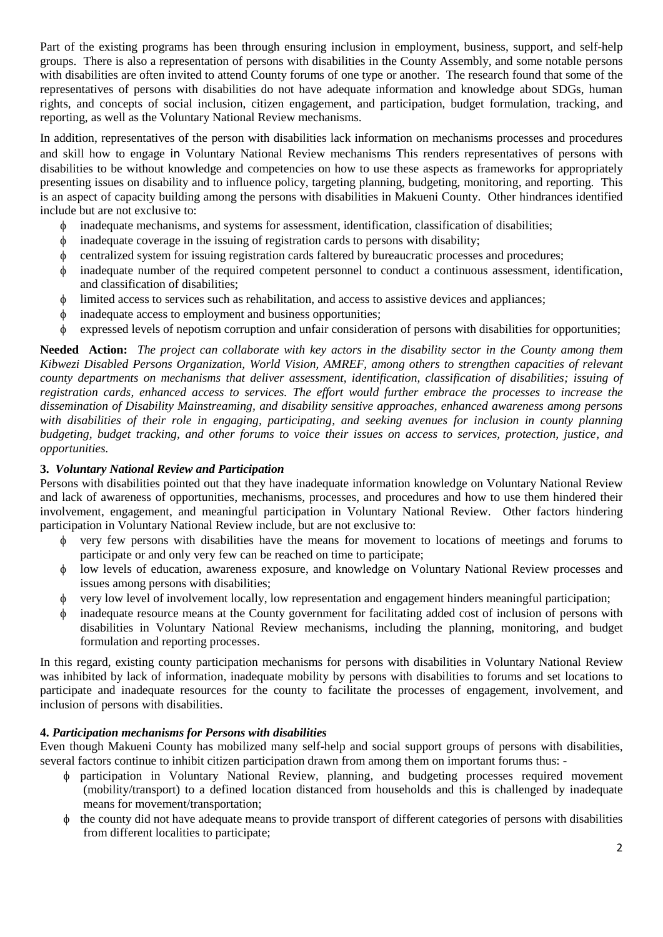Part of the existing programs has been through ensuring inclusion in employment, business, support, and self-help groups. There is also a representation of persons with disabilities in the County Assembly, and some notable persons with disabilities are often invited to attend County forums of one type or another. The research found that some of the representatives of persons with disabilities do not have adequate information and knowledge about SDGs, human rights, and concepts of social inclusion, citizen engagement, and participation, budget formulation, tracking, and reporting, as well as the Voluntary National Review mechanisms.

In addition, representatives of the person with disabilities lack information on mechanisms processes and procedures and skill how to engage in Voluntary National Review mechanisms This renders representatives of persons with disabilities to be without knowledge and competencies on how to use these aspects as frameworks for appropriately presenting issues on disability and to influence policy, targeting planning, budgeting, monitoring, and reporting. This is an aspect of capacity building among the persons with disabilities in Makueni County. Other hindrances identified include but are not exclusive to:

- inadequate mechanisms, and systems for assessment, identification, classification of disabilities;
- inadequate coverage in the issuing of registration cards to persons with disability;
- centralized system for issuing registration cards faltered by bureaucratic processes and procedures;
- inadequate number of the required competent personnel to conduct a continuous assessment, identification, and classification of disabilities;
- limited access to services such as rehabilitation, and access to assistive devices and appliances;
- inadequate access to employment and business opportunities;
- $\phi$  expressed levels of nepotism corruption and unfair consideration of persons with disabilities for opportunities;

**Needed Action:** *The project can collaborate with key actors in the disability sector in the County among them Kibwezi Disabled Persons Organization, World Vision, AMREF, among others to strengthen capacities of relevant county departments on mechanisms that deliver assessment, identification, classification of disabilities; issuing of registration cards, enhanced access to services. The effort would further embrace the processes to increase the dissemination of Disability Mainstreaming, and disability sensitive approaches, enhanced awareness among persons with disabilities of their role in engaging, participating, and seeking avenues for inclusion in county planning budgeting, budget tracking, and other forums to voice their issues on access to services, protection, justice, and opportunities.* 

## **3.** *Voluntary National Review and Participation*

Persons with disabilities pointed out that they have inadequate information knowledge on Voluntary National Review and lack of awareness of opportunities, mechanisms, processes, and procedures and how to use them hindered their involvement, engagement, and meaningful participation in Voluntary National Review. Other factors hindering participation in Voluntary National Review include, but are not exclusive to:

- very few persons with disabilities have the means for movement to locations of meetings and forums to participate or and only very few can be reached on time to participate;
- low levels of education, awareness exposure, and knowledge on Voluntary National Review processes and issues among persons with disabilities;
- very low level of involvement locally, low representation and engagement hinders meaningful participation;
- inadequate resource means at the County government for facilitating added cost of inclusion of persons with disabilities in Voluntary National Review mechanisms, including the planning, monitoring, and budget formulation and reporting processes.

In this regard, existing county participation mechanisms for persons with disabilities in Voluntary National Review was inhibited by lack of information, inadequate mobility by persons with disabilities to forums and set locations to participate and inadequate resources for the county to facilitate the processes of engagement, involvement, and inclusion of persons with disabilities.

#### **4.** *Participation mechanisms for Persons with disabilities*

Even though Makueni County has mobilized many self-help and social support groups of persons with disabilities, several factors continue to inhibit citizen participation drawn from among them on important forums thus: -

- participation in Voluntary National Review, planning, and budgeting processes required movement (mobility/transport) to a defined location distanced from households and this is challenged by inadequate means for movement/transportation;
- $\phi$  the county did not have adequate means to provide transport of different categories of persons with disabilities from different localities to participate;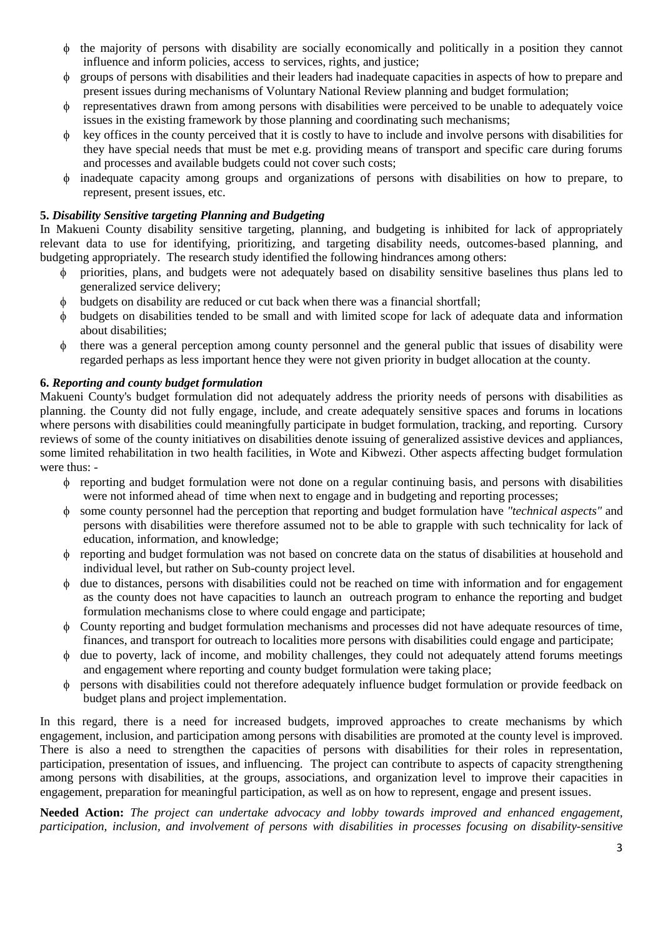- $\phi$  the majority of persons with disability are socially economically and politically in a position they cannot influence and inform policies, access to services, rights, and justice;
- groups of persons with disabilities and their leaders had inadequate capacities in aspects of how to prepare and present issues during mechanisms of Voluntary National Review planning and budget formulation;
- representatives drawn from among persons with disabilities were perceived to be unable to adequately voice issues in the existing framework by those planning and coordinating such mechanisms;
- $\phi$  key offices in the county perceived that it is costly to have to include and involve persons with disabilities for they have special needs that must be met e.g. providing means of transport and specific care during forums and processes and available budgets could not cover such costs;
- inadequate capacity among groups and organizations of persons with disabilities on how to prepare, to represent, present issues, etc.

# **5.** *Disability Sensitive targeting Planning and Budgeting*

In Makueni County disability sensitive targeting, planning, and budgeting is inhibited for lack of appropriately relevant data to use for identifying, prioritizing, and targeting disability needs, outcomes-based planning, and budgeting appropriately. The research study identified the following hindrances among others:

- priorities, plans, and budgets were not adequately based on disability sensitive baselines thus plans led to generalized service delivery;
- $\phi$  budgets on disability are reduced or cut back when there was a financial shortfall;
- budgets on disabilities tended to be small and with limited scope for lack of adequate data and information about disabilities;
- there was a general perception among county personnel and the general public that issues of disability were regarded perhaps as less important hence they were not given priority in budget allocation at the county.

# **6.** *Reporting and county budget formulation*

Makueni County's budget formulation did not adequately address the priority needs of persons with disabilities as planning. the County did not fully engage, include, and create adequately sensitive spaces and forums in locations where persons with disabilities could meaningfully participate in budget formulation, tracking, and reporting. Cursory reviews of some of the county initiatives on disabilities denote issuing of generalized assistive devices and appliances, some limited rehabilitation in two health facilities, in Wote and Kibwezi. Other aspects affecting budget formulation were thus: -

- reporting and budget formulation were not done on a regular continuing basis, and persons with disabilities were not informed ahead of time when next to engage and in budgeting and reporting processes;
- some county personnel had the perception that reporting and budget formulation have *"technical aspects"* and persons with disabilities were therefore assumed not to be able to grapple with such technicality for lack of education, information, and knowledge;
- reporting and budget formulation was not based on concrete data on the status of disabilities at household and individual level, but rather on Sub-county project level.
- due to distances, persons with disabilities could not be reached on time with information and for engagement as the county does not have capacities to launch an outreach program to enhance the reporting and budget formulation mechanisms close to where could engage and participate;
- County reporting and budget formulation mechanisms and processes did not have adequate resources of time, finances, and transport for outreach to localities more persons with disabilities could engage and participate;
- due to poverty, lack of income, and mobility challenges, they could not adequately attend forums meetings and engagement where reporting and county budget formulation were taking place;
- persons with disabilities could not therefore adequately influence budget formulation or provide feedback on budget plans and project implementation.

In this regard, there is a need for increased budgets, improved approaches to create mechanisms by which engagement, inclusion, and participation among persons with disabilities are promoted at the county level is improved. There is also a need to strengthen the capacities of persons with disabilities for their roles in representation, participation, presentation of issues, and influencing. The project can contribute to aspects of capacity strengthening among persons with disabilities, at the groups, associations, and organization level to improve their capacities in engagement, preparation for meaningful participation, as well as on how to represent, engage and present issues.

**Needed Action:** *The project can undertake advocacy and lobby towards improved and enhanced engagement, participation, inclusion, and involvement of persons with disabilities in processes focusing on disability-sensitive*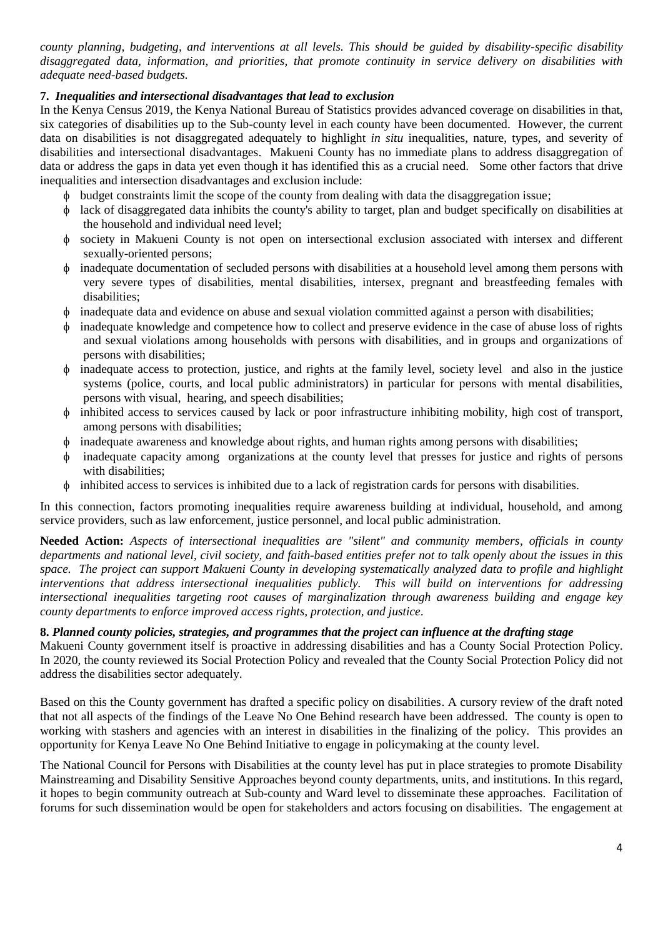*county planning, budgeting, and interventions at all levels. This should be guided by disability-specific disability disaggregated data, information, and priorities, that promote continuity in service delivery on disabilities with adequate need-based budgets.* 

## **7.** *Inequalities and intersectional disadvantages that lead to exclusion*

In the Kenya Census 2019, the Kenya National Bureau of Statistics provides advanced coverage on disabilities in that, six categories of disabilities up to the Sub-county level in each county have been documented. However, the current data on disabilities is not disaggregated adequately to highlight *in situ* inequalities, nature, types, and severity of disabilities and intersectional disadvantages. Makueni County has no immediate plans to address disaggregation of data or address the gaps in data yet even though it has identified this as a crucial need. Some other factors that drive inequalities and intersection disadvantages and exclusion include:

- budget constraints limit the scope of the county from dealing with data the disaggregation issue;
- lack of disaggregated data inhibits the county's ability to target, plan and budget specifically on disabilities at the household and individual need level;
- society in Makueni County is not open on intersectional exclusion associated with intersex and different sexually-oriented persons;
- inadequate documentation of secluded persons with disabilities at a household level among them persons with very severe types of disabilities, mental disabilities, intersex, pregnant and breastfeeding females with disabilities;
- inadequate data and evidence on abuse and sexual violation committed against a person with disabilities;
- inadequate knowledge and competence how to collect and preserve evidence in the case of abuse loss of rights and sexual violations among households with persons with disabilities, and in groups and organizations of persons with disabilities;
- inadequate access to protection, justice, and rights at the family level, society level and also in the justice systems (police, courts, and local public administrators) in particular for persons with mental disabilities, persons with visual, hearing, and speech disabilities;
- inhibited access to services caused by lack or poor infrastructure inhibiting mobility, high cost of transport, among persons with disabilities;
- inadequate awareness and knowledge about rights, and human rights among persons with disabilities;
- inadequate capacity among organizations at the county level that presses for justice and rights of persons with disabilities;
- inhibited access to services is inhibited due to a lack of registration cards for persons with disabilities.

In this connection, factors promoting inequalities require awareness building at individual, household, and among service providers, such as law enforcement, justice personnel, and local public administration.

**Needed Action:** *Aspects of intersectional inequalities are "silent" and community members, officials in county departments and national level, civil society, and faith-based entities prefer not to talk openly about the issues in this space. The project can support Makueni County in developing systematically analyzed data to profile and highlight interventions that address intersectional inequalities publicly. This will build on interventions for addressing intersectional inequalities targeting root causes of marginalization through awareness building and engage key county departments to enforce improved access rights, protection, and justice.* 

# **8.** *Planned county policies, strategies, and programmes that the project can influence at the drafting stage*

Makueni County government itself is proactive in addressing disabilities and has a County Social Protection Policy. In 2020, the county reviewed its Social Protection Policy and revealed that the County Social Protection Policy did not address the disabilities sector adequately.

Based on this the County government has drafted a specific policy on disabilities. A cursory review of the draft noted that not all aspects of the findings of the Leave No One Behind research have been addressed. The county is open to working with stashers and agencies with an interest in disabilities in the finalizing of the policy. This provides an opportunity for Kenya Leave No One Behind Initiative to engage in policymaking at the county level.

The National Council for Persons with Disabilities at the county level has put in place strategies to promote Disability Mainstreaming and Disability Sensitive Approaches beyond county departments, units, and institutions. In this regard, it hopes to begin community outreach at Sub-county and Ward level to disseminate these approaches. Facilitation of forums for such dissemination would be open for stakeholders and actors focusing on disabilities. The engagement at